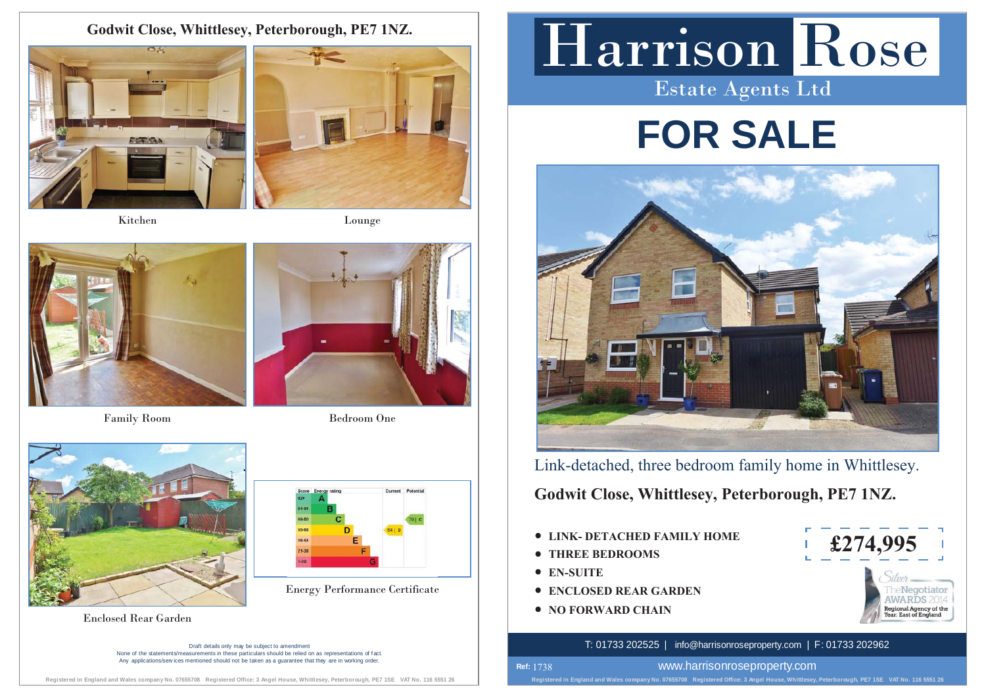# **Godwit Close, Whittlesey, Peterborough, PE7 1NZ.**



Kitchen





Family Room Bedroom One





Enclosed Rear Garden

Draft details only may be subject to amendment None of the statements/measurements in these particulars should be relied on as representations of f act. Any applications/services mentioned should not be taken as a quarantee that they are in working order

Harrison Rose Estate Agents Ltd

# **FOR SALE**



Link-detached, three bedroom family home in Whittlesey.

**Godwit Close, Whittlesey, Peterborough, PE7 1NZ.**

- $\bullet$  **LINK- DETACHED FAMILY HOME**
- **THREE BEDROOMS**
- **EN-SUITE**

**Ref:**  1738

- **Energy Performance Certificate**  $\qquad$  **CONCLOSED REAR GARDEN** 
	- **NO FORWARD CHAIN**



# T: 01733 202525 | info@harrisonroseproperty.com | F: 01733 202962

www.harrisonroseproperty.com

**Registered in England and Wales company No. 07655708 Registered Office: 3 Angel House, Whittlesey, Peterborough, PE7 1SE VAT No. 116 5551 26** 

**Registered in England and Wales company No. 07655708 Registered Office: 3 Angel House, Whittlesey, Peterborough, PE7 1SE VAT No. 116 5551 26**